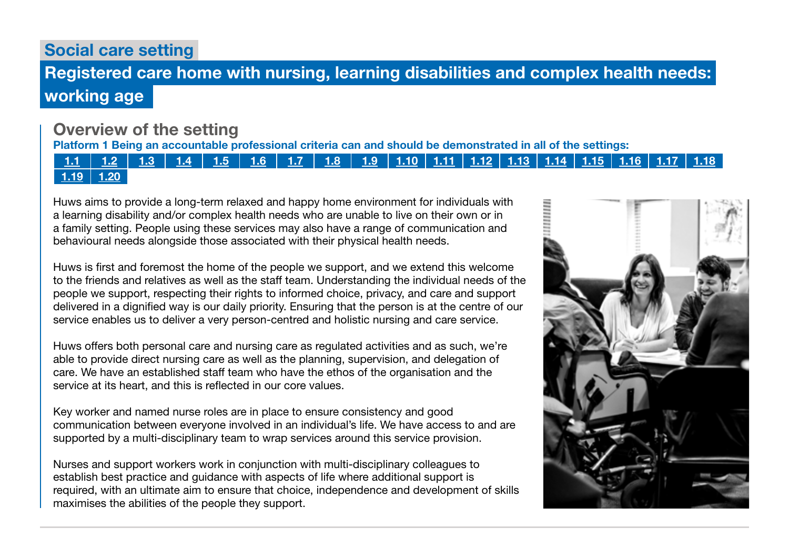Social care setting

# Registered care home with nursing, learning disabilities and complex health needs: working age

## Overview of the setting

Platform 1 Being an accountable professional criteria can and should be demonstrated in all of the settings:

1.1 | 1.2 | 1.3 | 1.4 | 1.5 | 1.6 | 1.7 | 1.8 | 1.9 | 1.10 | 1.11 | 1.12 | 1.13 | 1.14 | 1.15 | 1.16 | 1.17 | 1.18  $1.19$  1.20

Huws aims to provide a long-term relaxed and happy home environment for individuals with a learning disability and/or complex health needs who are unable to live on their own or in a family setting. People using these services may also have a range of communication and behavioural needs alongside those associated with their physical health needs.

Huws is first and foremost the home of the people we support, and we extend this welcome to the friends and relatives as well as the staff team. Understanding the individual needs of the people we support, respecting their rights to informed choice, privacy, and care and support delivered in a dignified way is our daily priority. Ensuring that the person is at the centre of our service enables us to deliver a very person-centred and holistic nursing and care service.

Huws offers both personal care and nursing care as regulated activities and as such, we're able to provide direct nursing care as well as the planning, supervision, and delegation of care. We have an established staff team who have the ethos of the organisation and the service at its heart, and this is reflected in our core values.

Key worker and named nurse roles are in place to ensure consistency and good communication between everyone involved in an individual's life. We have access to and are supported by a multi-disciplinary team to wrap services around this service provision.

Nurses and support workers work in conjunction with multi-disciplinary colleagues to establish best practice and guidance with aspects of life where additional support is required, with an ultimate aim to ensure that choice, independence and development of skills maximises the abilities of the people they support.

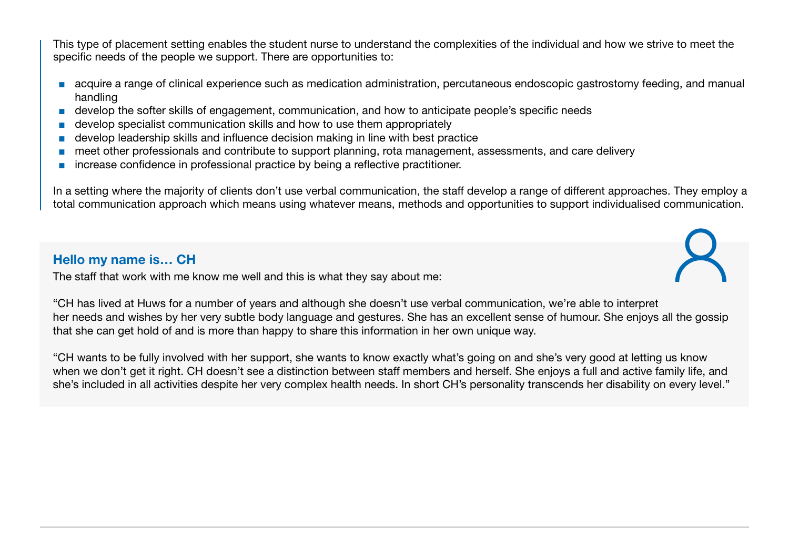This type of placement setting enables the student nurse to understand the complexities of the individual and how we strive to meet the specific needs of the people we support. There are opportunities to:

- acquire a range of clinical experience such as medication administration, percutaneous endoscopic gastrostomy feeding, and manual handling
- develop the softer skills of engagement, communication, and how to anticipate people's specific needs
- develop specialist communication skills and how to use them appropriately
- develop leadership skills and influence decision making in line with best practice
- meet other professionals and contribute to support planning, rota management, assessments, and care delivery
- increase confidence in professional practice by being a reflective practitioner.

In a setting where the majority of clients don't use verbal communication, the staff develop a range of different approaches. They employ a total communication approach which means using whatever means, methods and opportunities to support individualised communication.

### Hello my name is… CH

The staff that work with me know me well and this is what they say about me:

"CH has lived at Huws for a number of years and although she doesn't use verbal communication, we're able to interpret her needs and wishes by her very subtle body language and gestures. She has an excellent sense of humour. She enjoys all the gossip that she can get hold of and is more than happy to share this information in her own unique way.

"CH wants to be fully involved with her support, she wants to know exactly what's going on and she's very good at letting us know when we don't get it right. CH doesn't see a distinction between staff members and herself. She enjoys a full and active family life, and she's included in all activities despite her very complex health needs. In short CH's personality transcends her disability on every level."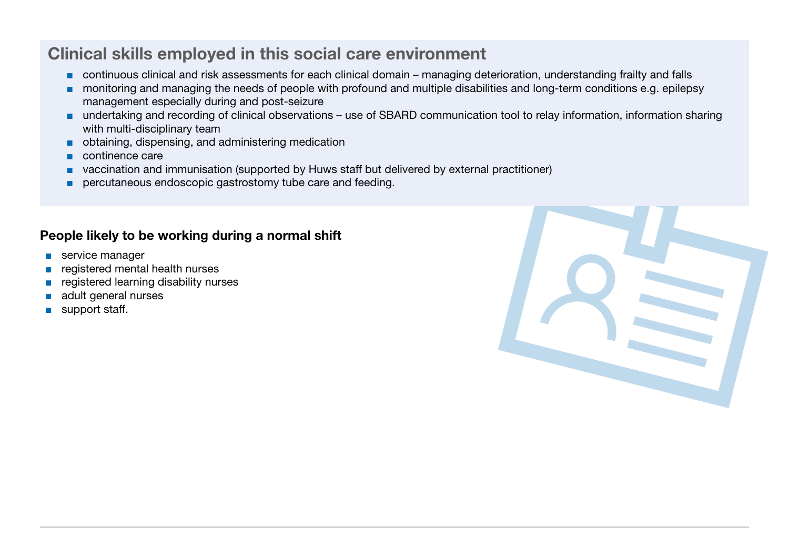# Clinical skills employed in this social care environment

- continuous clinical and risk assessments for each clinical domain managing deterioration, understanding frailty and falls
- monitoring and managing the needs of people with profound and multiple disabilities and long-term conditions e.g. epilepsy management especially during and post-seizure
- undertaking and recording of clinical observations use of SBARD communication tool to relay information, information sharing with multi-disciplinary team
- obtaining, dispensing, and administering medication
- continence care
- vaccination and immunisation (supported by Huws staff but delivered by external practitioner)
- percutaneous endoscopic gastrostomy tube care and feeding.

### People likely to be working during a normal shift

- service manager
- registered mental health nurses
- registered learning disability nurses
- adult general nurses
- support staff.

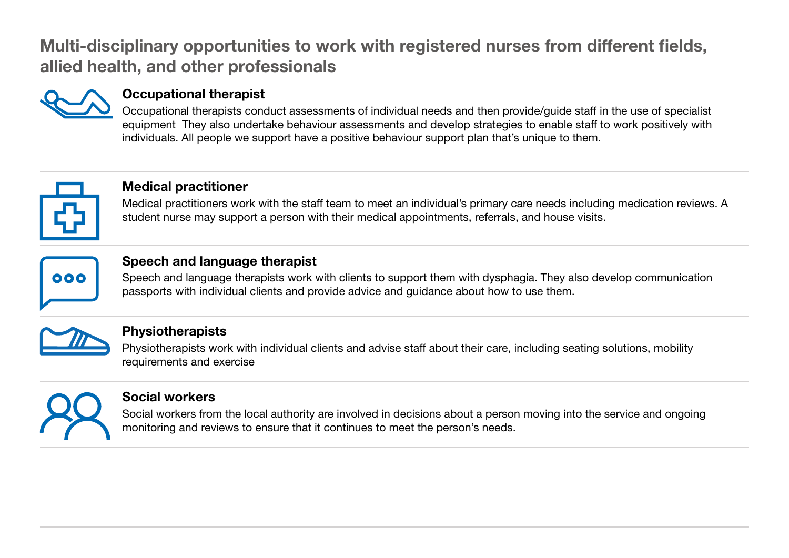# Multi-disciplinary opportunities to work with registered nurses from different fields, allied health, and other professionals



### Occupational therapist

Occupational therapists conduct assessments of individual needs and then provide/guide staff in the use of specialist equipment They also undertake behaviour assessments and develop strategies to enable staff to work positively with individuals. All people we support have a positive behaviour support plan that's unique to them.



### Medical practitioner

Medical practitioners work with the staff team to meet an individual's primary care needs including medication reviews. A student nurse may support a person with their medical appointments, referrals, and house visits.



### Speech and language therapist

Speech and language therapists work with clients to support them with dysphagia. They also develop communication passports with individual clients and provide advice and guidance about how to use them.



### **Physiotherapists**

Physiotherapists work with individual clients and advise staff about their care, including seating solutions, mobility requirements and exercise



### Social workers

Social workers from the local authority are involved in decisions about a person moving into the service and ongoing monitoring and reviews to ensure that it continues to meet the person's needs.